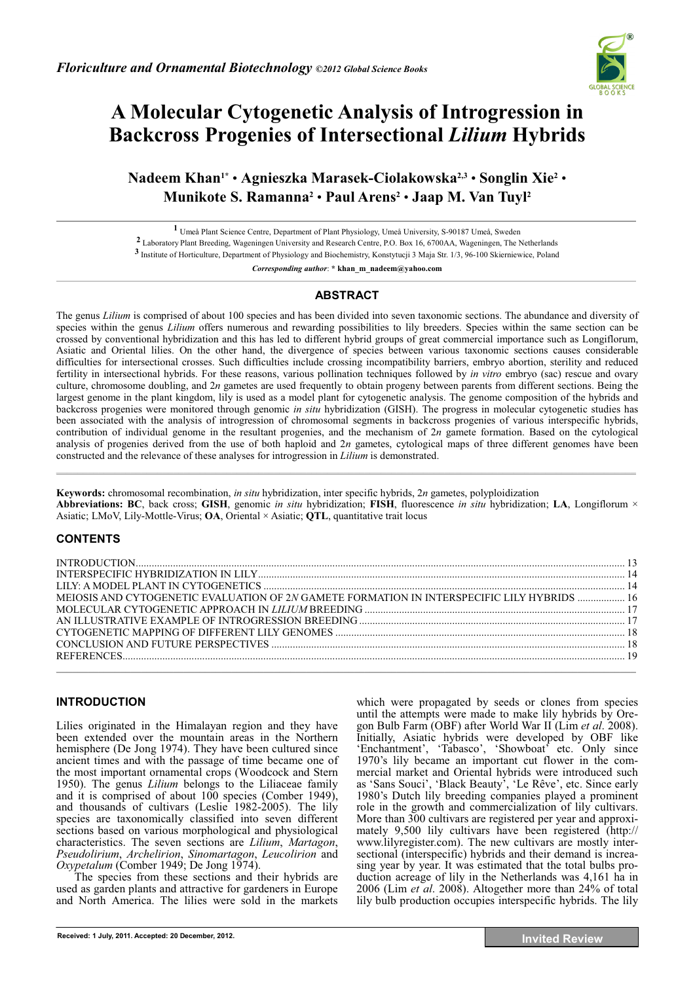

# **A Molecular Cytogenetic Analysis of Introgression in Backcross Progenies of Intersectional** *Lilium* **Hybrids**

**Nadeem Khan1\*** • **Agnieszka Marasek-Ciolakowska2,3** • **Songlin Xie2** • **Munikote S. Ramanna2** • **Paul Arens2** • **Jaap M. Van Tuyl2**

**1** Umeå Plant Science Centre, Department of Plant Physiology, Umeå University, S-90187 Umeå, Sweden

**2** Laboratory Plant Breeding, Wageningen University and Research Centre, P.O. Box 16, 6700AA, Wageningen, The Netherlands

**3** Institute of Horticulture, Department of Physiology and Biochemistry, Konstytucji 3 Maja Str. 1/3, 96-100 Skierniewice, Poland

*Corresponding author*: **\* khan\_m\_nadeem@yahoo.com** 

# **ABSTRACT**

The genus *Lilium* is comprised of about 100 species and has been divided into seven taxonomic sections. The abundance and diversity of species within the genus *Lilium* offers numerous and rewarding possibilities to lily breeders. Species within the same section can be crossed by conventional hybridization and this has led to different hybrid groups of great commercial importance such as Longiflorum, Asiatic and Oriental lilies. On the other hand, the divergence of species between various taxonomic sections causes considerable difficulties for intersectional crosses. Such difficulties include crossing incompatibility barriers, embryo abortion, sterility and reduced fertility in intersectional hybrids. For these reasons, various pollination techniques followed by *in vitro* embryo (sac) rescue and ovary culture, chromosome doubling, and 2*n* gametes are used frequently to obtain progeny between parents from different sections. Being the largest genome in the plant kingdom, lily is used as a model plant for cytogenetic analysis. The genome composition of the hybrids and backcross progenies were monitored through genomic *in situ* hybridization (GISH). The progress in molecular cytogenetic studies has been associated with the analysis of introgression of chromosomal segments in backcross progenies of various interspecific hybrids, contribution of individual genome in the resultant progenies, and the mechanism of 2*n* gamete formation. Based on the cytological analysis of progenies derived from the use of both haploid and 2*n* gametes, cytological maps of three different genomes have been constructed and the relevance of these analyses for introgression in *Lilium* is demonstrated.  $\mathcal{L} = \{ \mathcal{L} = \{ \mathcal{L} = \{ \mathcal{L} = \{ \mathcal{L} = \{ \mathcal{L} = \{ \mathcal{L} = \{ \mathcal{L} = \{ \mathcal{L} = \{ \mathcal{L} = \{ \mathcal{L} = \{ \mathcal{L} = \{ \mathcal{L} = \{ \mathcal{L} = \{ \mathcal{L} = \{ \mathcal{L} = \{ \mathcal{L} = \{ \mathcal{L} = \{ \mathcal{L} = \{ \mathcal{L} = \{ \mathcal{L} = \{ \mathcal{L} = \{ \mathcal{L} = \{ \mathcal{L} = \{ \mathcal{$ 

**Keywords:** chromosomal recombination, *in situ* hybridization, inter specific hybrids, 2*n* gametes, polyploidization **Abbreviations: BC**, back cross; **GISH**, genomic *in situ* hybridization; **FISH**, fluorescence *in situ* hybridization; **LA**, Longiflorum × Asiatic; LMoV, Lily-Mottle-Virus; **OA**, Oriental × Asiatic; **QTL**, quantitative trait locus

# **CONTENTS**

| MEIOSIS AND CYTOGENETIC EVALUATION OF 2N GAMETE FORMATION IN INTERSPECIFIC LILY HYBRIDS  16 |  |
|---------------------------------------------------------------------------------------------|--|
|                                                                                             |  |
|                                                                                             |  |
|                                                                                             |  |
|                                                                                             |  |
|                                                                                             |  |
|                                                                                             |  |

# **INTRODUCTION**

Lilies originated in the Himalayan region and they have been extended over the mountain areas in the Northern hemisphere (De Jong 1974). They have been cultured since ancient times and with the passage of time became one of the most important ornamental crops (Woodcock and Stern 1950). The genus *Lilium* belongs to the Liliaceae family and it is comprised of about 100 species (Comber 1949), and thousands of cultivars (Leslie 1982-2005). The lily species are taxonomically classified into seven different sections based on various morphological and physiological characteristics. The seven sections are *Lilium*, *Martagon*, *Pseudolirium*, *Archelirion*, *Sinomartagon*, *Leucolirion* and *Oxypetalum* (Comber 1949; De Jong 1974).

The species from these sections and their hybrids are used as garden plants and attractive for gardeners in Europe and North America. The lilies were sold in the markets which were propagated by seeds or clones from species until the attempts were made to make lily hybrids by Oregon Bulb Farm (OBF) after World War II (Lim *et al*. 2008). Initially, Asiatic hybrids were developed by OBF like 'Enchantment', 'Tabasco', 'Showboat' etc. Only since 1970's lily became an important cut flower in the commercial market and Oriental hybrids were introduced such as 'Sans Souci', 'Black Beauty', 'Le Rêve', etc. Since early 1980's Dutch lily breeding companies played a prominent role in the growth and commercialization of lily cultivars. More than 300 cultivars are registered per year and approximately 9,500 lily cultivars have been registered (http:// www.lilyregister.com). The new cultivars are mostly intersectional (interspecific) hybrids and their demand is increasing year by year. It was estimated that the total bulbs production acreage of lily in the Netherlands was 4,161 ha in 2006 (Lim *et al*. 2008). Altogether more than 24% of total lily bulb production occupies interspecific hybrids. The lily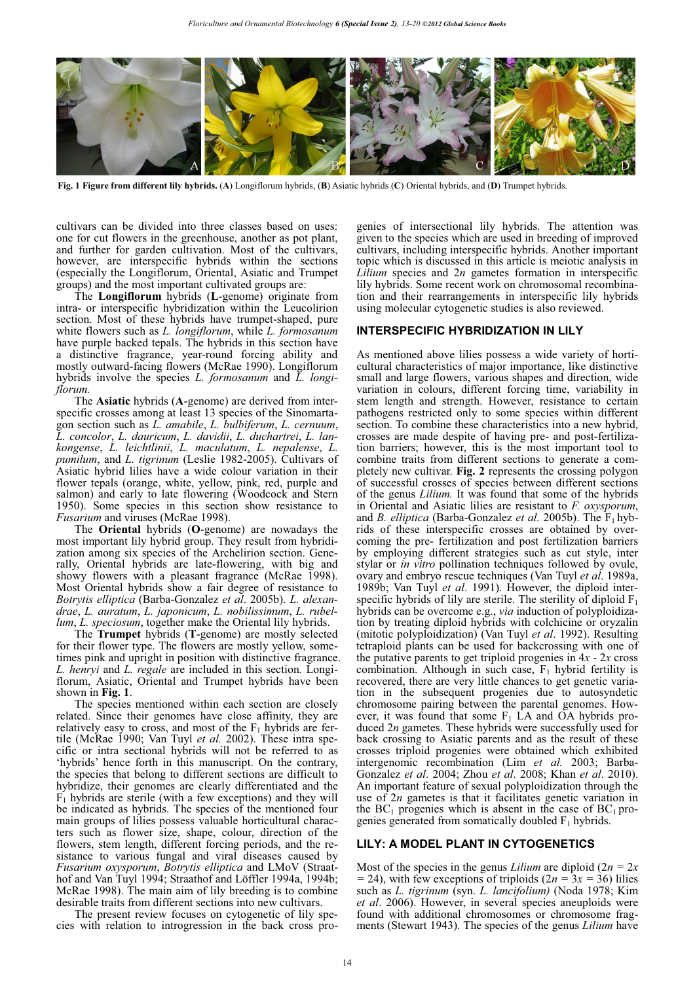

**Fig. 1 Figure from different lily hybrids.** (**A**) Longiflorum hybrids, (**B**) Asiatic hybrids (**C**) Oriental hybrids, and (**D**) Trumpet hybrids.

cultivars can be divided into three classes based on uses: one for cut flowers in the greenhouse, another as pot plant, and further for garden cultivation. Most of the cultivars, however, are interspecific hybrids within the sections (especially the Longiflorum, Oriental, Asiatic and Trumpet groups) and the most important cultivated groups are:

The **Longiflorum** hybrids (**L**-genome) originate from intra- or interspecific hybridization within the Leucolirion section. Most of these hybrids have trumpet-shaped, pure white flowers such as *L. longiflorum*, while *L. formosanum* have purple backed tepals. The hybrids in this section have a distinctive fragrance, year-round forcing ability and mostly outward-facing flowers (McRae 1990). Longiflorum hybrids involve the species *L. formosanum* and *L. longiflorum.*

The **Asiatic** hybrids (**A**-genome) are derived from interspecific crosses among at least 13 species of the Sinomartagon section such as *L. amabile*, *L. bulbiferum*, *L. cernuum*, *L. concolor*, *L. dauricum*, *L. davidii*, *L. duchartrei*, *L. lankongense*, *L. leichtlinii*, *L. maculatum*, *L. nepalense*, *L. pumilum*, and *L. tigrinum* (Leslie 1982-2005). Cultivars of Asiatic hybrid lilies have a wide colour variation in their flower tepals (orange, white, yellow, pink, red, purple and salmon) and early to late flowering (Woodcock and Stern 1950). Some species in this section show resistance to *Fusarium* and viruses (McRae 1998).

The **Oriental** hybrids (**O**-genome) are nowadays the most important lily hybrid group. They result from hybridization among six species of the Archelirion section. Generally, Oriental hybrids are late-flowering, with big and showy flowers with a pleasant fragrance (McRae 1998). Most Oriental hybrids show a fair degree of resistance to *Botrytis elliptica* (Barba-Gonzalez *et al*. 2005b). *L. alexandrae*, *L. auratum*, *L. japonicum*, *L. nobilissimum*, *L. rubellum*, *L. speciosum*, together make the Oriental lily hybrids.

The **Trumpet** hybrids (**T**-genome) are mostly selected for their flower type. The flowers are mostly yellow, sometimes pink and upright in position with distinctive fragrance. *L. henryi* and *L. regale* are included in this section*.* Longiflorum, Asiatic, Oriental and Trumpet hybrids have been shown in **Fig. 1**.

The species mentioned within each section are closely related. Since their genomes have close affinity, they are relatively easy to cross, and most of the  $F_1$  hybrids are fertile (McRae 1990; Van Tuyl *et al.* 2002). These intra specific or intra sectional hybrids will not be referred to as 'hybrids' hence forth in this manuscript. On the contrary, the species that belong to different sections are difficult to hybridize, their genomes are clearly differentiated and the  $F<sub>1</sub>$  hybrids are sterile (with a few exceptions) and they will be indicated as hybrids. The species of the mentioned four main groups of lilies possess valuable horticultural characters such as flower size, shape, colour, direction of the flowers, stem length, different forcing periods, and the resistance to various fungal and viral diseases caused by *Fusarium oxysporum*, *Botrytis elliptica* and LMoV (Straathof and Van Tuyl 1994; Straathof and Löffler 1994a, 1994b; McRae 1998). The main aim of lily breeding is to combine desirable traits from different sections into new cultivars.

The present review focuses on cytogenetic of lily species with relation to introgression in the back cross progenies of intersectional lily hybrids. The attention was given to the species which are used in breeding of improved cultivars, including interspecific hybrids. Another important topic which is discussed in this article is meiotic analysis in *Lilium* species and 2*n* gametes formation in interspecific lily hybrids. Some recent work on chromosomal recombination and their rearrangements in interspecific lily hybrids using molecular cytogenetic studies is also reviewed.

# **INTERSPECIFIC HYBRIDIZATION IN LILY**

As mentioned above lilies possess a wide variety of horticultural characteristics of major importance, like distinctive small and large flowers, various shapes and direction, wide variation in colours, different forcing time, variability in stem length and strength. However, resistance to certain pathogens restricted only to some species within different section. To combine these characteristics into a new hybrid, crosses are made despite of having pre- and post-fertilization barriers; however, this is the most important tool to combine traits from different sections to generate a completely new cultivar. **Fig. 2** represents the crossing polygon of successful crosses of species between different sections of the genus *Lilium.* It was found that some of the hybrids in Oriental and Asiatic lilies are resistant to *F. oxysporum*, and *B. elliptica* (Barba-Gonzalez *et al.* 2005b). The  $\overline{F_1}$  hybrids of these interspecific crosses are obtained by overcoming the pre- fertilization and post fertilization barriers by employing different strategies such as cut style, inter stylar or *in vitro* pollination techniques followed by ovule, ovary and embryo rescue techniques (Van Tuyl *et al*. 1989a, 1989b; Van Tuyl *et al*. 1991). However, the diploid interspecific hybrids of lily are sterile. The sterility of diploid  $F_1$ hybrids can be overcome e.g., *via* induction of polyploidization by treating diploid hybrids with colchicine or oryzalin (mitotic polyploidization) (Van Tuyl *et al*. 1992). Resulting tetraploid plants can be used for backcrossing with one of the putative parents to get triploid progenies in  $4x - 2x$  cross combination. Although in such case,  $F_1$  hybrid fertility is recovered, there are very little chances to get genetic variation in the subsequent progenies due to autosyndetic chromosome pairing between the parental genomes. However, it was found that some  $F_1$  LA and OA hybrids produced 2*n* gametes. These hybrids were successfully used for back crossing to Asiatic parents and as the result of these crosses triploid progenies were obtained which exhibited intergenomic recombination (Lim *et al.* 2003; Barba-Gonzalez *et al*. 2004; Zhou *et al*. 2008; Khan *et al*. 2010). An important feature of sexual polyploidization through the use of 2*n* gametes is that it facilitates genetic variation in the  $BC_1$  progenies which is absent in the case of  $BC_1$  progenies generated from somatically doubled  $F_1$  hybrids.

# **LILY: A MODEL PLANT IN CYTOGENETICS**

Most of the species in the genus *Lilium* are diploid  $(2n = 2x)$ *=* 24), with few exceptions of triploids (2*n =* 3*x =* 36) lilies such as *L. tigrinum* (syn. *L. lancifolium)* (Noda 1978; Kim *et al*. 2006). However, in several species aneuploids were found with additional chromosomes or chromosome fragments (Stewart 1943). The species of the genus *Lilium* have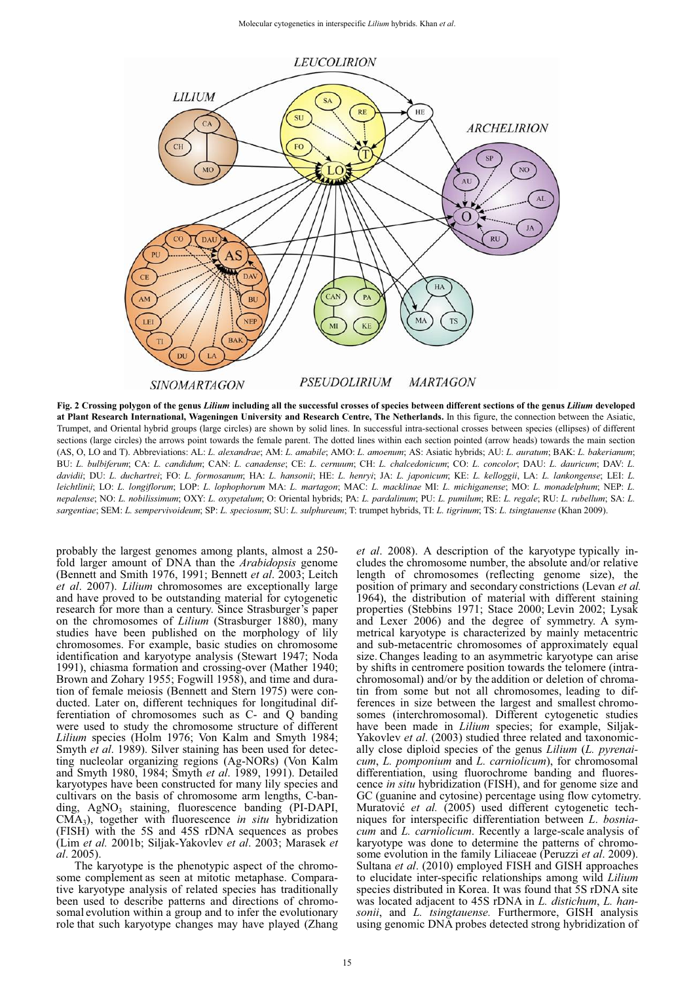

**Fig. 2 Crossing polygon of the genus** *Lilium* **including all the successful crosses of species between different sections of the genus** *Lilium* **developed at Plant Research International, Wageningen University and Research Centre, The Netherlands.** In this figure, the connection between the Asiatic, Trumpet, and Oriental hybrid groups (large circles) are shown by solid lines. In successful intra-sectional crosses between species (ellipses) of different sections (large circles) the arrows point towards the female parent. The dotted lines within each section pointed (arrow heads) towards the main section (AS, O, LO and T). Abbreviations: AL: *L. alexandrae*; AM: *L. amabile*; AMO: *L. amoenum*; AS: Asiatic hybrids; AU: *L. auratum*; BAK: *L. bakerianum*; BU: *L. bulbiferum*; CA: *L. candidum*; CAN: *L. canadense*; CE: *L. cernuum*; CH: *L. chalcedonicum*; CO: *L. concolor*; DAU: *L. dauricum*; DAV: *L. davidii*; DU: *L. duchartrei*; FO: *L. formosanum*; HA: *L. hansonii*; HE: *L. henryi*; JA: *L. japonicum*; KE: *L. kelloggii*, LA: *L. lankongense*; LEI: *L. leichtlinii*; LO: *L. longiflorum*; LOP: *L. lophophorum* MA: *L. martagon*; MAC: *L. macklinae* MI: *L. michiganense*; MO: *L. monadelphum*; NEP: *L. nepalense*; NO: *L. nobilissimum*; OXY: *L. oxypetalum*; O: Oriental hybrids; PA: *L. pardalinum*; PU: *L. pumilum*; RE: *L. regale*; RU: *L. rubellum*; SA: *L. sargentiae*; SEM: *L. sempervivoideum*; SP: *L. speciosum*; SU: *L. sulphureum*; T: trumpet hybrids, TI: *L. tigrinum*; TS: *L. tsingtauense* (Khan 2009).

probably the largest genomes among plants, almost a 250 fold larger amount of DNA than the *Arabidopsis* genome (Bennett and Smith 1976, 1991; Bennett *et al*. 2003; Leitch *et al*. 2007). *Lilium* chromosomes are exceptionally large and have proved to be outstanding material for cytogenetic research for more than a century. Since Strasburger's paper on the chromosomes of *Lilium* (Strasburger 1880), many studies have been published on the morphology of lily chromosomes. For example, basic studies on chromosome identification and karyotype analysis (Stewart 1947; Noda 1991), chiasma formation and crossing-over (Mather 1940; Brown and Zohary 1955; Fogwill 1958), and time and duration of female meiosis (Bennett and Stern 1975) were conducted. Later on, different techniques for longitudinal differentiation of chromosomes such as C- and Q banding were used to study the chromosome structure of different *Lilium* species (Holm 1976; Von Kalm and Smyth 1984; Smyth *et al*. 1989). Silver staining has been used for detecting nucleolar organizing regions (Ag-NORs) (Von Kalm and Smyth 1980, 1984; Smyth *et al*. 1989, 1991). Detailed karyotypes have been constructed for many lily species and cultivars on the basis of chromosome arm lengths, C-banding, AgNO<sub>3</sub> staining, fluorescence banding (PI-DAPI, CMA3), together with fluorescence *in situ* hybridization (FISH) with the 5S and 45S rDNA sequences as probes (Lim *et al.* 2001b; Siljak-Yakovlev *et al*. 2003; Marasek *et al*. 2005).

The karyotype is the phenotypic aspect of the chromosome complement as seen at mitotic metaphase. Comparative karyotype analysis of related species has traditionally been used to describe patterns and directions of chromosomal evolution within a group and to infer the evolutionary role that such karyotype changes may have played (Zhang *et al*. 2008). A description of the karyotype typically includes the chromosome number, the absolute and/or relative length of chromosomes (reflecting genome size), the position of primary and secondary constrictions (Levan *et al.* 1964), the distribution of material with different staining properties (Stebbins 1971; Stace 2000; Levin 2002; Lysak and Lexer 2006) and the degree of symmetry. A symmetrical karyotype is characterized by mainly metacentric and sub-metacentric chromosomes of approximately equal size. Changes leading to an asymmetric karyotype can arise by shifts in centromere position towards the telomere (intrachromosomal) and/or by the addition or deletion of chromatin from some but not all chromosomes, leading to differences in size between the largest and smallest chromosomes (interchromosomal). Different cytogenetic studies have been made in *Lilium* species; for example, Siljak-Yakovlev *et al.* (2003) studied three related and taxonomically close diploid species of the genus *Lilium* (*L. pyrenaicum*, *L. pomponium* and *L. carniolicum*), for chromosomal differentiation, using fluorochrome banding and fluorescence *in situ* hybridization (FISH), and for genome size and GC (guanine and cytosine) percentage using flow cytometry. Muratović et al. (2005) used different cytogenetic techniques for interspecific differentiation between *L*. *bosniacum* and *L. carniolicum*. Recently a large-scale analysis of karyotype was done to determine the patterns of chromosome evolution in the family Liliaceae (Peruzzi *et al*. 2009). Sultana *et al*. (2010) employed FISH and GISH approaches to elucidate inter-specific relationships among wild *Lilium* species distributed in Korea. It was found that 5S rDNA site was located adjacent to 45S rDNA in *L. distichum*, *L. hansonii*, and *L. tsingtauense.* Furthermore, GISH analysis using genomic DNA probes detected strong hybridization of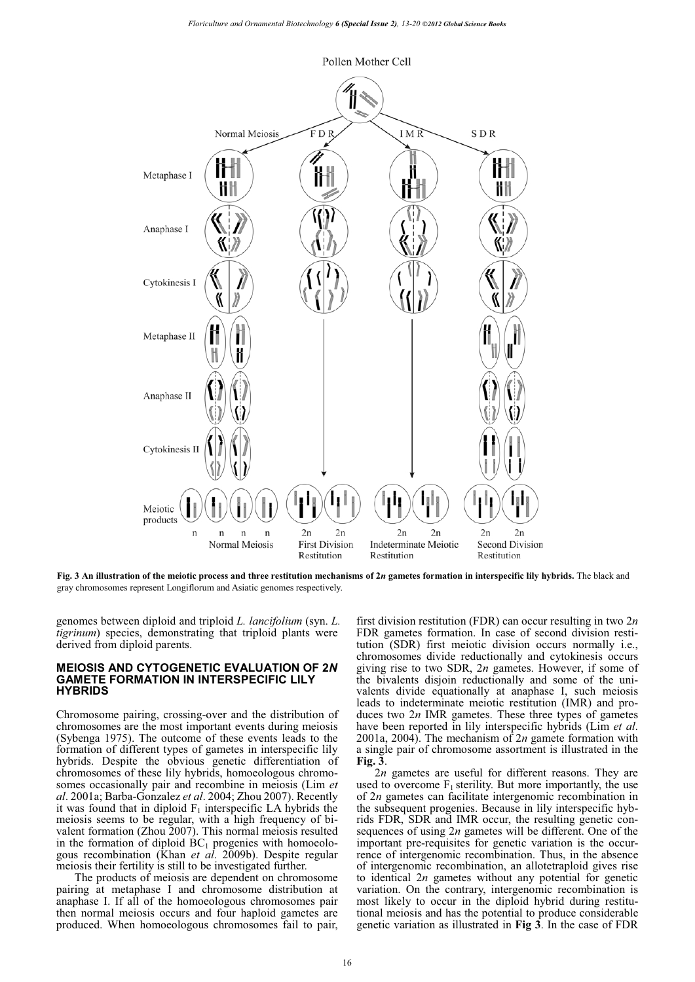

**Fig. 3 An illustration of the meiotic process and three restitution mechanisms of 2***n* **gametes formation in interspecific lily hybrids.** The black and gray chromosomes represent Longiflorum and Asiatic genomes respectively.

genomes between diploid and triploid *L. lancifolium* (syn. *L. tigrinum*) species, demonstrating that triploid plants were derived from diploid parents.

#### **MEIOSIS AND CYTOGENETIC EVALUATION OF 2***N* **GAMETE FORMATION IN INTERSPECIFIC LILY HYBRIDS**

Chromosome pairing, crossing-over and the distribution of chromosomes are the most important events during meiosis (Sybenga 1975). The outcome of these events leads to the formation of different types of gametes in interspecific lily hybrids. Despite the obvious genetic differentiation of chromosomes of these lily hybrids, homoeologous chromosomes occasionally pair and recombine in meiosis (Lim *et al*. 2001a; Barba-Gonzalez *et al*. 2004; Zhou 2007). Recently it was found that in diploid  $F_1$  interspecific LA hybrids the meiosis seems to be regular, with a high frequency of bivalent formation (Zhou 2007). This normal meiosis resulted in the formation of diploid  $BC_1$  progenies with homoeologous recombination (Khan *et al*. 2009b). Despite regular meiosis their fertility is still to be investigated further.

The products of meiosis are dependent on chromosome pairing at metaphase I and chromosome distribution at anaphase I. If all of the homoeologous chromosomes pair then normal meiosis occurs and four haploid gametes are produced. When homoeologous chromosomes fail to pair,

first division restitution (FDR) can occur resulting in two 2*n* FDR gametes formation. In case of second division restitution (SDR) first meiotic division occurs normally i.e., chromosomes divide reductionally and cytokinesis occurs giving rise to two SDR, 2*n* gametes. However, if some of the bivalents disjoin reductionally and some of the univalents divide equationally at anaphase I, such meiosis leads to indeterminate meiotic restitution (IMR) and produces two 2*n* IMR gametes. These three types of gametes have been reported in lily interspecific hybrids (Lim *et al*. 2001a, 2004). The mechanism of 2*n* gamete formation with a single pair of chromosome assortment is illustrated in the **Fig. 3**.

2*n* gametes are useful for different reasons. They are used to overcome  $F_1$  sterility. But more importantly, the use of 2*n* gametes can facilitate intergenomic recombination in the subsequent progenies. Because in lily interspecific hybrids FDR, SDR and IMR occur, the resulting genetic consequences of using 2*n* gametes will be different. One of the important pre-requisites for genetic variation is the occurrence of intergenomic recombination. Thus, in the absence of intergenomic recombination, an allotetraploid gives rise to identical 2*n* gametes without any potential for genetic variation. On the contrary, intergenomic recombination is most likely to occur in the diploid hybrid during restitutional meiosis and has the potential to produce considerable genetic variation as illustrated in **Fig 3**. In the case of FDR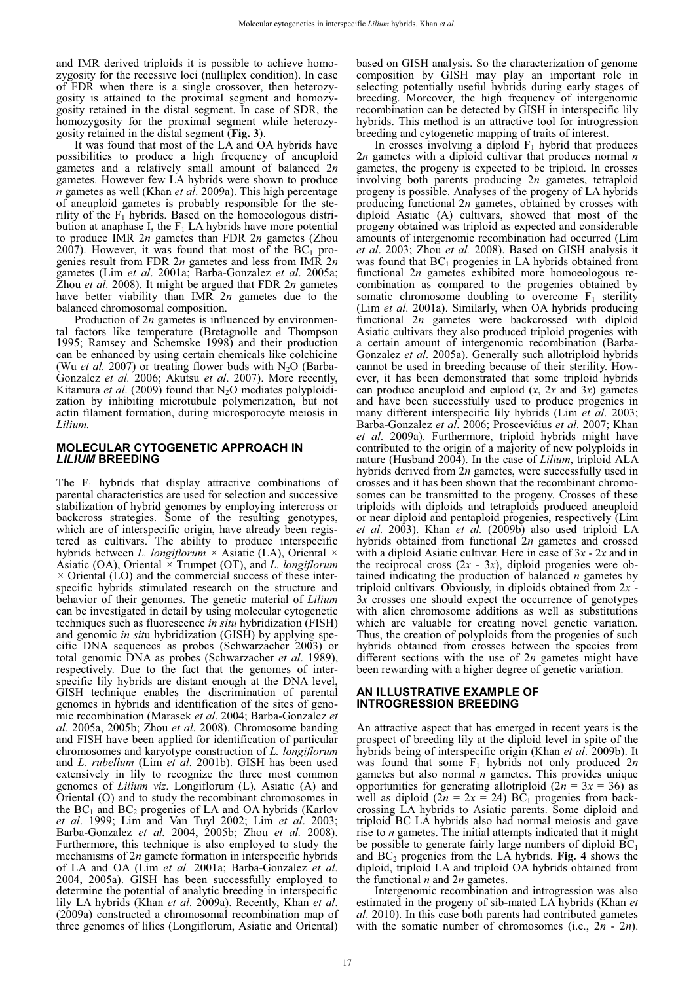and IMR derived triploids it is possible to achieve homozygosity for the recessive loci (nulliplex condition). In case of FDR when there is a single crossover, then heterozygosity is attained to the proximal segment and homozygosity retained in the distal segment. In case of SDR, the homozygosity for the proximal segment while heterozygosity retained in the distal segment (**Fig. 3**).

It was found that most of the LA and OA hybrids have possibilities to produce a high frequency of aneuploid gametes and a relatively small amount of balanced 2*n* gametes. However few LA hybrids were shown to produce *n* gametes as well (Khan *et al*. 2009a). This high percentage of aneuploid gametes is probably responsible for the sterility of the  $F_1$  hybrids. Based on the homoeologous distribution at anaphase I, the  $F_1$  LA hybrids have more potential to produce IMR 2*n* gametes than FDR 2*n* gametes (Zhou 2007). However, it was found that most of the  $BC_1$  progenies result from FDR 2*n* gametes and less from IMR 2*n* gametes (Lim *et al*. 2001a; Barba-Gonzalez *et al*. 2005a; Zhou *et al*. 2008). It might be argued that FDR 2*n* gametes have better viability than IMR 2*n* gametes due to the balanced chromosomal composition.

Production of 2*n* gametes is influenced by environmental factors like temperature (Bretagnolle and Thompson 1995; Ramsey and Schemske 1998) and their production can be enhanced by using certain chemicals like colchicine (Wu *et al.* 2007) or treating flower buds with  $N_2O$  (Barba-Gonzalez *et al.* 2006; Akutsu *et al*. 2007). More recently, Kitamura *et al.* (2009) found that  $N_2O$  mediates polyploidization by inhibiting microtubule polymerization, but not actin filament formation, during microsporocyte meiosis in *Lilium.*

## **MOLECULAR CYTOGENETIC APPROACH IN**  *LILIUM* **BREEDING**

The  $F_1$  hybrids that display attractive combinations of parental characteristics are used for selection and successive stabilization of hybrid genomes by employing intercross or backcross strategies. Some of the resulting genotypes, which are of interspecific origin, have already been registered as cultivars. The ability to produce interspecific hybrids between *L. longiflorum ×* Asiatic (LA), Oriental *×*  Asiatic (OA), Oriental *×* Trumpet (OT), and *L. longiflorum ×* Oriental (LO) and the commercial success of these interspecific hybrids stimulated research on the structure and behavior of their genomes. The genetic material of *Lilium* can be investigated in detail by using molecular cytogenetic techniques such as fluorescence *in situ* hybridization (FISH) and genomic *in sit*u hybridization (GISH) by applying specific DNA sequences as probes (Schwarzacher 2003) or total genomic DNA as probes (Schwarzacher *et al*. 1989), respectively. Due to the fact that the genomes of interspecific lily hybrids are distant enough at the DNA level, GISH technique enables the discrimination of parental genomes in hybrids and identification of the sites of genomic recombination (Marasek *et al*. 2004; Barba-Gonzalez *et al*. 2005a, 2005b; Zhou *et al*. 2008). Chromosome banding and FISH have been applied for identification of particular chromosomes and karyotype construction of *L. longiflorum* and *L. rubellum* (Lim *et al*. 2001b). GISH has been used extensively in lily to recognize the three most common genomes of *Lilium viz*. Longiflorum (L), Asiatic (A) and Oriental (O) and to study the recombinant chromosomes in the  $BC_1$  and  $BC_2$  progenies of LA and OA hybrids (Karlov *et al*. 1999; Lim and Van Tuyl 2002; Lim *et al*. 2003; Barba-Gonzalez *et al.* 2004, 2005b; Zhou *et al.* 2008). Furthermore, this technique is also employed to study the mechanisms of 2*n* gamete formation in interspecific hybrids of LA and OA (Lim *et al.* 2001a; Barba-Gonzalez *et al*. 2004, 2005a). GISH has been successfully employed to determine the potential of analytic breeding in interspecific lily LA hybrids (Khan *et al*. 2009a). Recently, Khan *et al*. (2009a) constructed a chromosomal recombination map of three genomes of lilies (Longiflorum, Asiatic and Oriental)

based on GISH analysis. So the characterization of genome composition by GISH may play an important role in selecting potentially useful hybrids during early stages of breeding. Moreover, the high frequency of intergenomic recombination can be detected by GISH in interspecific lily hybrids. This method is an attractive tool for introgression breeding and cytogenetic mapping of traits of interest.

In crosses involving a diploid  $F_1$  hybrid that produces 2*n* gametes with a diploid cultivar that produces normal *n* gametes, the progeny is expected to be triploid. In crosses involving both parents producing 2*n* gametes, tetraploid progeny is possible. Analyses of the progeny of LA hybrids producing functional 2*n* gametes, obtained by crosses with diploid Asiatic (A) cultivars, showed that most of the progeny obtained was triploid as expected and considerable amounts of intergenomic recombination had occurred (Lim *et al*. 2003; Zhou *et al.* 2008). Based on GISH analysis it was found that  $BC_1$  progenies in LA hybrids obtained from functional 2*n* gametes exhibited more homoeologous recombination as compared to the progenies obtained by somatic chromosome doubling to overcome  $F_1$  sterility (Lim *et al*. 2001a). Similarly, when OA hybrids producing functional 2*n* gametes were backcrossed with diploid Asiatic cultivars they also produced triploid progenies with a certain amount of intergenomic recombination (Barba-Gonzalez *et al*. 2005a). Generally such allotriploid hybrids cannot be used in breeding because of their sterility. However, it has been demonstrated that some triploid hybrids can produce aneuploid and euploid (*x*, 2*x* and 3*x*) gametes and have been successfully used to produce progenies in many different interspecific lily hybrids (Lim *et al*. 2003; Barba-Gonzalez et al. 2006; Proscevičius et al. 2007; Khan *et al*. 2009a). Furthermore, triploid hybrids might have contributed to the origin of a majority of new polyploids in nature (Husband 2004). In the case of *Lilium*, triploid ALA hybrids derived from 2*n* gametes, were successfully used in crosses and it has been shown that the recombinant chromosomes can be transmitted to the progeny. Crosses of these triploids with diploids and tetraploids produced aneuploid or near diploid and pentaploid progenies, respectively (Lim *et al*. 2003). Khan *et al.* (2009b) also used triploid LA hybrids obtained from functional 2*n* gametes and crossed with a diploid Asiatic cultivar. Here in case of 3*x* - 2*x* and in the reciprocal cross  $(2x - 3x)$ , diploid progenies were obtained indicating the production of balanced *n* gametes by triploid cultivars. Obviously, in diploids obtained from 2*x* - 3*x* crosses one should expect the occurrence of genotypes with alien chromosome additions as well as substitutions which are valuable for creating novel genetic variation. Thus, the creation of polyploids from the progenies of such hybrids obtained from crosses between the species from different sections with the use of 2*n* gametes might have been rewarding with a higher degree of genetic variation.

## **AN ILLUSTRATIVE EXAMPLE OF INTROGRESSION BREEDING**

An attractive aspect that has emerged in recent years is the prospect of breeding lily at the diploid level in spite of the hybrids being of interspecific origin (Khan *et al*. 2009b). It was found that some  $F_1$  hybrids not only produced 2*n* gametes but also normal *n* gametes. This provides unique opportunities for generating allotriploid  $(2n = 3x = 36)$  as well as diploid  $(2n = 2x = 24)$  BC<sub>1</sub> progenies from backcrossing LA hybrids to Asiatic parents. Some diploid and triploid BC LA hybrids also had normal meiosis and gave rise to *n* gametes. The initial attempts indicated that it might be possible to generate fairly large numbers of diploid  $BC<sub>1</sub>$ and  $BC_2$  progenies from the LA hybrids. **Fig. 4** shows the diploid, triploid LA and triploid OA hybrids obtained from the functional *n* and 2*n* gametes.

Intergenomic recombination and introgression was also estimated in the progeny of sib-mated LA hybrids (Khan *et al*. 2010). In this case both parents had contributed gametes with the somatic number of chromosomes (i.e., 2*n* - 2*n*).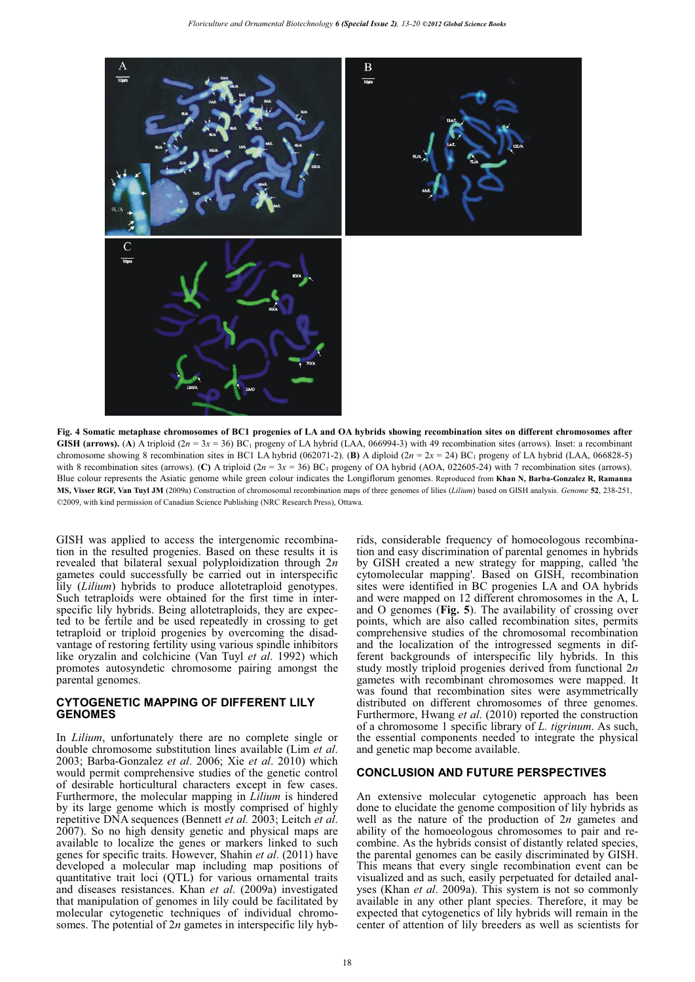

**Fig. 4 Somatic metaphase chromosomes of BC1 progenies of LA and OA hybrids showing recombination sites on different chromosomes after GISH (arrows).** (A) A triploid  $(2n = 3x = 36)$  BC<sub>1</sub> progeny of LA hybrid (LAA, 066994-3) with 49 recombination sites (arrows). Inset: a recombinant chromosome showing 8 recombination sites in BC1 LA hybrid (062071-2). **(B)** A diploid  $(2n = 2x = 24)$  BC<sub>1</sub> progeny of LA hybrid (LAA, 066828-5) with 8 recombination sites (arrows). (C) A triploid  $(2n = 3x = 36)$  BC<sub>1</sub> progeny of OA hybrid (AOA, 022605-24) with 7 recombination sites (arrows). Blue colour represents the Asiatic genome while green colour indicates the Longiflorum genomes. Reproduced from **Khan N, Barba-Gonzalez R, Ramanna MS, Visser RGF, Van Tuyl JM** (2009a) Construction of chromosomal recombination maps of three genomes of lilies (*Lilium*) based on GISH analysis. *Genome* **52**, 238-251, ©2009, with kind permission of Canadian Science Publishing (NRC Research Press), Ottawa.

GISH was applied to access the intergenomic recombination in the resulted progenies. Based on these results it is revealed that bilateral sexual polyploidization through 2*n* gametes could successfully be carried out in interspecific lily (*Lilium*) hybrids to produce allotetraploid genotypes. Such tetraploids were obtained for the first time in interspecific lily hybrids. Being allotetraploids, they are expected to be fertile and be used repeatedly in crossing to get tetraploid or triploid progenies by overcoming the disadvantage of restoring fertility using various spindle inhibitors like oryzalin and colchicine (Van Tuyl *et al*. 1992) which promotes autosyndetic chromosome pairing amongst the parental genomes.

# **CYTOGENETIC MAPPING OF DIFFERENT LILY GENOMES**

In *Lilium*, unfortunately there are no complete single or double chromosome substitution lines available (Lim *et al*. 2003; Barba-Gonzalez *et al*. 2006; Xie *et al*. 2010) which would permit comprehensive studies of the genetic control of desirable horticultural characters except in few cases. Furthermore, the molecular mapping in *Lilium* is hindered by its large genome which is mostly comprised of highly repetitive DNA sequences (Bennett *et al.* 2003; Leitch *et al*. 2007). So no high density genetic and physical maps are available to localize the genes or markers linked to such genes for specific traits. However, Shahin *et al*. (2011) have developed a molecular map including map positions of quantitative trait loci (QTL) for various ornamental traits and diseases resistances. Khan *et al*. (2009a) investigated that manipulation of genomes in lily could be facilitated by molecular cytogenetic techniques of individual chromosomes. The potential of 2*n* gametes in interspecific lily hybrids, considerable frequency of homoeologous recombination and easy discrimination of parental genomes in hybrids by GISH created a new strategy for mapping, called 'the cytomolecular mapping'. Based on GISH, recombination sites were identified in BC progenies LA and OA hybrids and were mapped on 12 different chromosomes in the A, L and O genomes (**Fig. 5**). The availability of crossing over points, which are also called recombination sites, permits comprehensive studies of the chromosomal recombination and the localization of the introgressed segments in different backgrounds of interspecific lily hybrids. In this study mostly triploid progenies derived from functional 2*n* gametes with recombinant chromosomes were mapped. It was found that recombination sites were asymmetrically distributed on different chromosomes of three genomes. Furthermore, Hwang *et al*. (2010) reported the construction of a chromosome 1 specific library of *L. tigrinum*. As such, the essential components needed to integrate the physical and genetic map become available.

# **CONCLUSION AND FUTURE PERSPECTIVES**

An extensive molecular cytogenetic approach has been done to elucidate the genome composition of lily hybrids as well as the nature of the production of 2*n* gametes and ability of the homoeologous chromosomes to pair and recombine. As the hybrids consist of distantly related species, the parental genomes can be easily discriminated by GISH. This means that every single recombination event can be visualized and as such, easily perpetuated for detailed analyses (Khan *et al*. 2009a). This system is not so commonly available in any other plant species. Therefore, it may be expected that cytogenetics of lily hybrids will remain in the center of attention of lily breeders as well as scientists for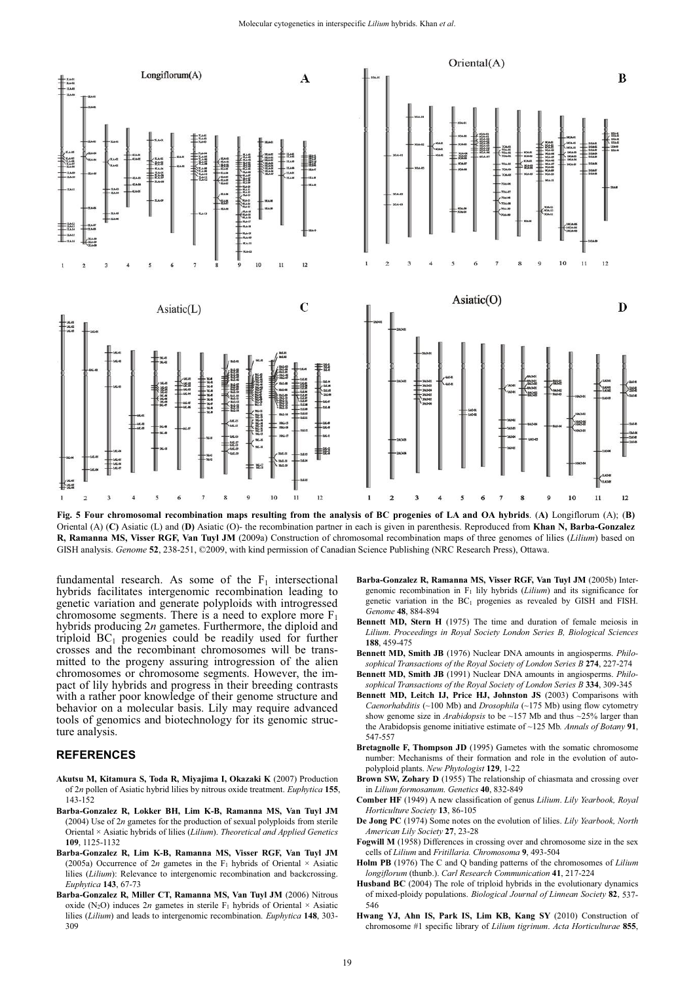

**Fig. 5 Four chromosomal recombination maps resulting from the analysis of BC progenies of LA and OA hybrids**. (**A)** Longiflorum (A); (**B)** Oriental (A) (**C)** Asiatic (L) and (**D)** Asiatic (O)- the recombination partner in each is given in parenthesis. Reproduced from **Khan N, Barba-Gonzalez R, Ramanna MS, Visser RGF, Van Tuyl JM** (2009a) Construction of chromosomal recombination maps of three genomes of lilies (*Lilium*) based on GISH analysis. *Genome* **52**, 238-251, ©2009, with kind permission of Canadian Science Publishing (NRC Research Press), Ottawa.

fundamental research. As some of the  $F_1$  intersectional hybrids facilitates intergenomic recombination leading to genetic variation and generate polyploids with introgressed chromosome segments. There is a need to explore more  $F_1$ hybrids producing 2*n* gametes. Furthermore, the diploid and triploid  $BC_1$  progenies could be readily used for further crosses and the recombinant chromosomes will be transmitted to the progeny assuring introgression of the alien chromosomes or chromosome segments. However, the impact of lily hybrids and progress in their breeding contrasts with a rather poor knowledge of their genome structure and behavior on a molecular basis. Lily may require advanced tools of genomics and biotechnology for its genomic structure analysis.

## **REFERENCES**

- **Akutsu M, Kitamura S, Toda R, Miyajima I, Okazaki K** (2007) Production of 2*n* pollen of Asiatic hybrid lilies by nitrous oxide treatment. *Euphytica* **155**, 143-152
- **Barba-Gonzalez R, Lokker BH, Lim K-B, Ramanna MS, Van Tuyl JM**  (2004) Use of 2*n* gametes for the production of sexual polyploids from sterile Oriental × Asiatic hybrids of lilies (*Lilium*). *Theoretical and Applied Genetics* **109**, 1125-1132
- **Barba-Gonzalez R, Lim K-B, Ramanna MS, Visser RGF, Van Tuyl JM**  (2005a) Occurrence of  $2n$  gametes in the F<sub>1</sub> hybrids of Oriental  $\times$  Asiatic lilies (*Lilium*): Relevance to intergenomic recombination and backcrossing. *Euphytica* **143**, 67-73
- **Barba-Gonzalez R, Miller CT, Ramanna MS, Van Tuyl JM** (2006) Nitrous oxide (N<sub>2</sub>O) induces 2*n* gametes in sterile  $F_1$  hybrids of Oriental  $\times$  Asiatic lilies (*Lilium*) and leads to intergenomic recombination*. Euphytica* **148**, 303- 309
- **Barba-Gonzalez R, Ramanna MS, Visser RGF, Van Tuyl JM** (2005b) Intergenomic recombination in F1 lily hybrids (*Lilium*) and its significance for genetic variation in the BC<sub>1</sub> progenies as revealed by GISH and FISH. *Genome* **48**, 884-894
- **Bennett MD, Stern H** (1975) The time and duration of female meiosis in *Lilium*. *Proceedings in Royal Society London Series B, Biological Sciences* **188**, 459-475
- **Bennett MD, Smith JB** (1976) Nuclear DNA amounts in angiosperms. *Philosophical Transactions of the Royal Society of London Series B* **274**, 227-274
- **Bennett MD, Smith JB** (1991) Nuclear DNA amounts in angiosperms. *Philosophical Transactions of the Royal Society of London Series B* **334**, 309-345
- **Bennett MD, Leit**c**h IJ, Pri**c**e HJ, Johnston JS** (2003) Comparisons with *Caenorhabditis* (~100 Mb) and *Drosophila* (~175 Mb) using flow cytometry show genome size in *Arabidopsis* to be ~157 Mb and thus ~25% larger than the Arabidopsis genome initiative estimate of ~125 Mb*. Annals of Botany* **91**, 547-557
- **Bretagnolle F, Thompson JD** (1995) Gametes with the somatic chromosome number: Mechanisms of their formation and role in the evolution of autopolyploid plants. *New Phytologist* **129**, 1-22
- **Brown SW, Zohary D** (1955) The relationship of chiasmata and crossing over in *Lilium formosanum*. *Genetics* **40**, 832-849
- **Comber HF** (1949) A new classification of genus *Lilium*. *Lily Yearbook, Royal Horticulture Society* **13**, 86-105
- **De Jong PC** (1974) Some notes on the evolution of lilies. *Lily Yearbook, North American Lily Society* **27**, 23-28
- **Fogwill M** (1958) Differences in crossing over and chromosome size in the sex cells of *Lilium* and *Fritillaria. Chromosoma* **9**, 493-504
- **Holm PB** (1976) The C and Q banding patterns of the chromosomes of *Lilium longiflorum* (thunb.). *Carl Research Communication* **41**, 217-224
- **Husband BC** (2004) The role of triploid hybrids in the evolutionary dynamics of mixed-ploidy populations. *Biological Journal of Linnean Society* **82**, 537- 546
- **Hwang YJ, Ahn IS, Park IS, Lim KB, Kang SY** (2010) Construction of chromosome #1 specific library of *Lilium tigrinum*. *Acta Horticulturae* **855**,